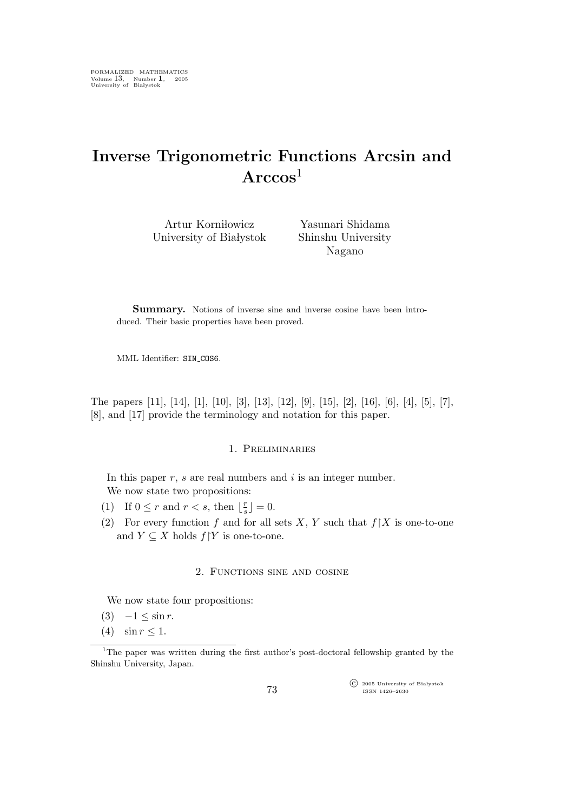# Inverse Trigonometric Functions Arcsin and  $\rm Arccos^1$

Artur Korniłowicz University of Białystok

Yasunari Shidama Shinshu University Nagano

Summary. Notions of inverse sine and inverse cosine have been introduced. Their basic properties have been proved.

MML Identifier: SIN\_COS6.

The papers [11], [14], [1], [10], [3], [13], [12], [9], [15], [2], [16], [6], [4], [5], [7], [8], and [17] provide the terminology and notation for this paper.

## 1. Preliminaries

In this paper  $r$ ,  $s$  are real numbers and  $i$  is an integer number. We now state two propositions:

- (1) If  $0 \leq r$  and  $r < s$ , then  $\lfloor \frac{r}{s} \rfloor$  $\frac{r}{s}$  = 0.
- (2) For every function f and for all sets X, Y such that  $f \upharpoonright X$  is one-to-one and  $Y \subseteq X$  holds  $f|Y$  is one-to-one.

#### 2. Functions sine and cosine

We now state four propositions:

- (3)  $-1 \leq \sin r$ .
- (4)  $\sin r \leq 1$ .

 $\widehat{\mathbb{C}}$  2005 University of Białystok ISSN 1426–2630

<sup>&</sup>lt;sup>1</sup>The paper was written during the first author's post-doctoral fellowship granted by the Shinshu University, Japan.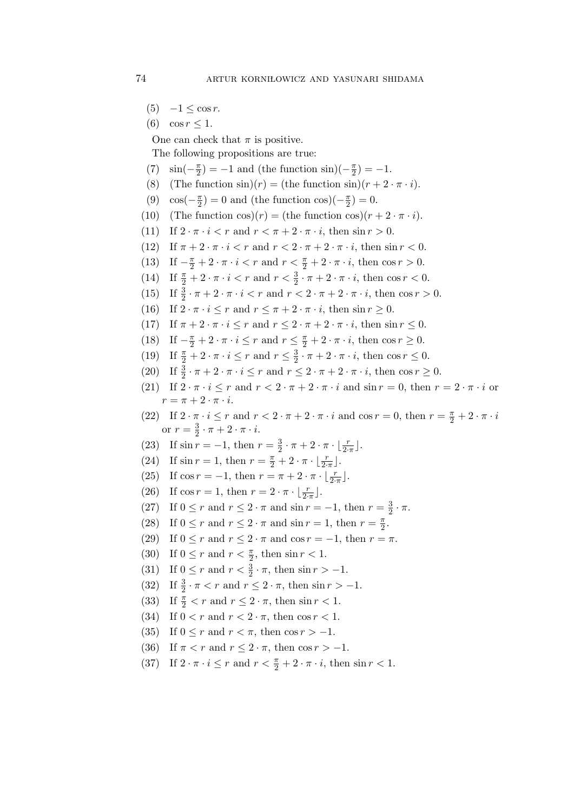- $(5)$  −1  $\leq$  cos r.
- (6)  $\cos r < 1$ .

One can check that  $\pi$  is positive.

The following propositions are true:

- (7)  $\sin(-\frac{\pi}{2}) = -1$  and (the function  $\sin(-\frac{\pi}{2}) = -1$ .
- (8) (The function  $\sin(r) = (\text{the function } \sin(r) + 2 \cdot \pi \cdot i).$
- (9)  $\cos(-\frac{\pi}{2}) = 0$  and (the function  $\cos(-\frac{\pi}{2}) = 0$ .
- (10) (The function  $\cos(r) = (\text{the function } \cos(r) + 2 \cdot \pi \cdot i).$
- (11) If  $2 \cdot \pi \cdot i < r$  and  $r < \pi + 2 \cdot \pi \cdot i$ , then  $\sin r > 0$ .
- (12) If  $\pi + 2 \cdot \pi \cdot i < r$  and  $r < 2 \cdot \pi + 2 \cdot \pi \cdot i$ , then  $\sin r < 0$ .
- (13) If  $-\frac{\pi}{2} + 2 \cdot \pi \cdot i < r$  and  $r < \frac{\pi}{2} + 2 \cdot \pi \cdot i$ , then  $\cos r > 0$ .
- (14) If  $\frac{\pi}{2} + 2 \cdot \pi \cdot i < r$  and  $r < \frac{3}{2} \cdot \pi + 2 \cdot \pi \cdot i$ , then  $\cos r < 0$ .
- (15) If  $\frac{3}{2} \cdot \pi + 2 \cdot \pi \cdot i < r$  and  $r < 2 \cdot \pi + 2 \cdot \pi \cdot i$ , then  $\cos r > 0$ .
- (16) If  $2 \cdot \pi \cdot i \leq r$  and  $r \leq \pi + 2 \cdot \pi \cdot i$ , then  $\sin r \geq 0$ .
- (17) If  $\pi + 2 \cdot \pi \cdot i \leq r$  and  $r \leq 2 \cdot \pi + 2 \cdot \pi \cdot i$ , then  $\sin r \leq 0$ .
- (18) If  $-\frac{\pi}{2} + 2 \cdot \pi \cdot i \leq r$  and  $r \leq \frac{\pi}{2} + 2 \cdot \pi \cdot i$ , then  $\cos r \geq 0$ .
- (19) If  $\frac{\pi}{2} + 2 \cdot \pi \cdot i \leq r$  and  $r \leq \frac{3}{2}$  $\frac{3}{2} \cdot \pi + 2 \cdot \pi \cdot i$ , then  $\cos r \leq 0$ .
- (20) If  $\frac{3}{2} \cdot \pi + 2 \cdot \pi \cdot i \leq r$  and  $r \leq 2 \cdot \pi + 2 \cdot \pi \cdot i$ , then  $\cos r \geq 0$ .
- (21) If  $2 \cdot \pi \cdot i \leq r$  and  $r \leq 2 \cdot \pi + 2 \cdot \pi \cdot i$  and  $\sin r = 0$ , then  $r = 2 \cdot \pi \cdot i$  or  $r = \pi + 2 \cdot \pi \cdot i$ .
- (22) If  $2 \cdot \pi \cdot i \leq r$  and  $r < 2 \cdot \pi + 2 \cdot \pi \cdot i$  and  $\cos r = 0$ , then  $r = \frac{\pi}{2} + 2 \cdot \pi \cdot i$ or  $r=\frac{3}{2}$  $\frac{3}{2} \cdot \pi + 2 \cdot \pi \cdot i.$
- (23) If  $\sin r = -1$ , then  $r = \frac{3}{2}$  $rac{3}{2} \cdot \pi + 2 \cdot \pi \cdot \lfloor \frac{r}{2 \cdot \pi} \rfloor.$
- (24) If  $\sin r = 1$ , then  $r = \frac{\pi}{2} + 2 \cdot \pi \cdot \left[ \frac{r}{2 \cdot \pi} \right]$ .
- (25) If  $\cos r = -1$ , then  $r = \pi + 2 \cdot \pi \cdot \lfloor \frac{r}{2 \cdot \pi} \rfloor$ .
- (26) If  $\cos r = 1$ , then  $r = 2 \cdot \pi \cdot \lfloor \frac{r}{2 \cdot \pi} \rfloor$ .
- (27) If  $0 \le r$  and  $r \le 2 \cdot \pi$  and  $\sin r = -1$ , then  $r = \frac{3}{2}$  $\frac{3}{2} \cdot \pi$ .
- (28) If  $0 \le r$  and  $r \le 2 \cdot \pi$  and  $\sin r = 1$ , then  $r = \frac{\pi}{2}$ .
- (29) If  $0 \leq r$  and  $r \leq 2 \cdot \pi$  and  $\cos r = -1$ , then  $r = \pi$ .
- (30) If  $0 \le r$  and  $r < \frac{\pi}{2}$ , then  $\sin r < 1$ .
- (31) If  $0 \le r$  and  $r < \frac{3}{2} \cdot \pi$ , then  $\sin r > -1$ .
- (32) If  $\frac{3}{2} \cdot \pi < r$  and  $r \leq 2 \cdot \pi$ , then  $\sin r > -1$ .
- (33) If  $\frac{\pi}{2} < r$  and  $r \leq 2 \cdot \pi$ , then  $\sin r < 1$ .
- (34) If  $0 < r$  and  $r < 2 \cdot \pi$ , then  $\cos r < 1$ .
- (35) If  $0 \leq r$  and  $r < \pi$ , then  $\cos r > -1$ .
- (36) If  $\pi < r$  and  $r \leq 2 \cdot \pi$ , then cos  $r > -1$ .
- (37) If  $2 \cdot \pi \cdot i \leq r$  and  $r < \frac{\pi}{2} + 2 \cdot \pi \cdot i$ , then  $\sin r < 1$ .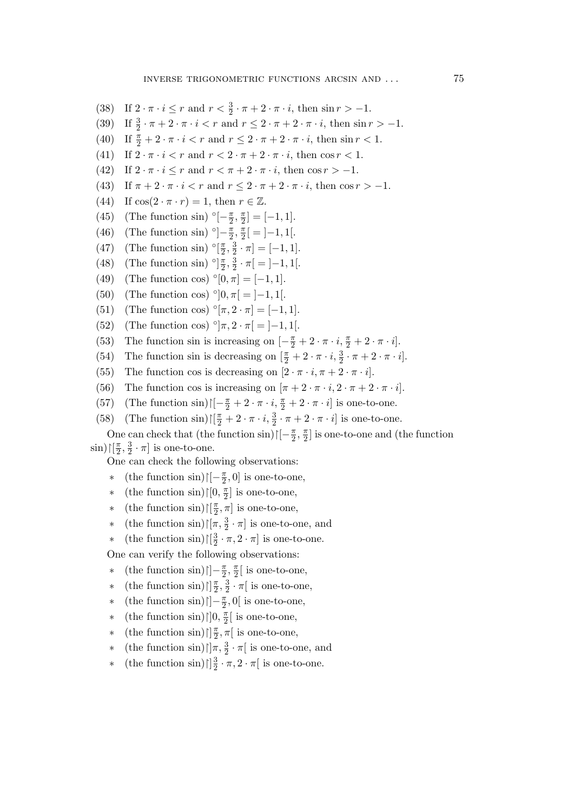- (38) If  $2 \cdot \pi \cdot i \leq r$  and  $r < \frac{3}{2} \cdot \pi + 2 \cdot \pi \cdot i$ , then  $\sin r > -1$ .
- (39) If  $\frac{3}{2} \cdot \pi + 2 \cdot \pi \cdot i < r$  and  $r \leq 2 \cdot \pi + 2 \cdot \pi \cdot i$ , then  $\sin r > -1$ .
- (40) If  $\frac{\pi}{2} + 2 \cdot \pi \cdot i < r$  and  $r \leq 2 \cdot \pi + 2 \cdot \pi \cdot i$ , then  $\sin r < 1$ .
- (41) If  $2 \cdot \pi \cdot i < r$  and  $r < 2 \cdot \pi + 2 \cdot \pi \cdot i$ , then  $\cos r < 1$ .
- (42) If  $2 \cdot \pi \cdot i \leq r$  and  $r < \pi + 2 \cdot \pi \cdot i$ , then  $\cos r > -1$ .
- (43) If  $\pi + 2 \cdot \pi \cdot i < r$  and  $r \leq 2 \cdot \pi + 2 \cdot \pi \cdot i$ , then cos  $r > -1$ .
- (44) If  $\cos(2 \cdot \pi \cdot r) = 1$ , then  $r \in \mathbb{Z}$ .
- (45) (The function sin)  $\binom{5}{-2}, \frac{\pi}{2} = [-1, 1].$
- (46) (The function sin)  $\binom{5}{2} \frac{\pi}{2}, \frac{\pi}{2} = ]-1, 1[$ .
- (47) (The function sin)  $\binom{5}{2}, \frac{3}{2}$  $\frac{3}{2} \cdot \pi$ ] = [-1, 1].
- (48) (The function sin)  $\binom{5}{2}, \frac{3}{2}$  $\frac{3}{2} \cdot \pi$ [ = ]-1, 1[.
- (49) (The function cos)  $\degree[0, \pi] = [-1, 1].$
- (50) (The function cos) °[0,  $\pi$ [ = ]–1, 1[.
- (51) (The function cos)  $\degree[\pi, 2 \cdot \pi] = [-1, 1].$
- (52) (The function cos)  $\degree$ ] $\pi$ ,  $2 \cdot \pi$ [ = ]-1, 1[.
- (53) The function sin is increasing on  $\left[-\frac{\pi}{2} + 2 \cdot \pi \cdot i, \frac{\pi}{2} + 2 \cdot \pi \cdot i\right]$ .
- (54) The function sin is decreasing on  $\left[\frac{\pi}{2} + 2 \cdot \pi \cdot i, \frac{3}{2} \cdot \pi + 2 \cdot \pi \cdot i\right]$ .
- (55) The function cos is decreasing on  $[2 \cdot \pi \cdot i, \pi + 2 \cdot \pi \cdot i]$ .
- (56) The function cos is increasing on  $[\pi + 2 \cdot \pi \cdot i, 2 \cdot \pi + 2 \cdot \pi \cdot i]$ .
- (57) (The function sin) $\left[\left[-\frac{\pi}{2} + 2 \cdot \pi \cdot i, \frac{\pi}{2} + 2 \cdot \pi \cdot i\right]\right]$  is one-to-one.
- (58) (The function sin) $\left[\frac{\pi}{2} + 2 \cdot \pi \cdot i, \frac{3}{2} \cdot \pi + 2 \cdot \pi \cdot i\right]$  is one-to-one.

One can check that (the function sin) $\left[\left[-\frac{\pi}{2}, \frac{\pi}{2}\right]$  is one-to-one and (the function  $\sin)[\frac{\pi}{2}, \frac{3}{2}]$  $\frac{3}{2} \cdot \pi$  is one-to-one.

One can check the following observations:

- ∗ (the function sin) $\left[ -\frac{\pi}{2}, 0 \right]$  is one-to-one,
- ∗ (the function sin) $\lfloor 0, \frac{\pi}{2} \rfloor$  is one-to-one,
- <sup>∗</sup> (the function sin)  $\left[\frac{\pi}{2}, \pi\right]$  is one-to-one,
- <sup>∗</sup> (the function sin) $\lceil \pi, \frac{3}{2} \cdot \pi \rceil$  is one-to-one, and
- ∗ (the function sin) $\lfloor \frac{3}{2} \rfloor$  $\frac{3}{2} \cdot \pi$ ,  $2 \cdot \pi$  is one-to-one.

One can verify the following observations:

- ∗ (the function sin) $\left| \cdot \right| = \frac{\pi}{2}, \frac{\pi}{2}$  is one-to-one,
- $\ast$  (the function sin) $\left[\frac{\pi}{2}, \frac{3}{2}\right]$  $\frac{3}{2} \cdot \pi$  is one-to-one,
- ∗ (the function sin) $\vert -\frac{\pi}{2}, 0 \vert$  is one-to-one,
- ∗ (the function sin) $\lfloor 0, \frac{\pi}{2} \rfloor$  is one-to-one,
- <sup>∗</sup> (the function sin) $\left[\frac{\pi}{2}, \pi\right]$  is one-to-one,
- <sup>∗</sup> (the function sin) $\left|\right|\pi, \frac{3}{2} \cdot \pi\right|$  is one-to-one, and
- $\ast$  (the function sin) $\frac{3}{2}$  $\frac{3}{2} \cdot \pi$ ,  $2 \cdot \pi$  is one-to-one.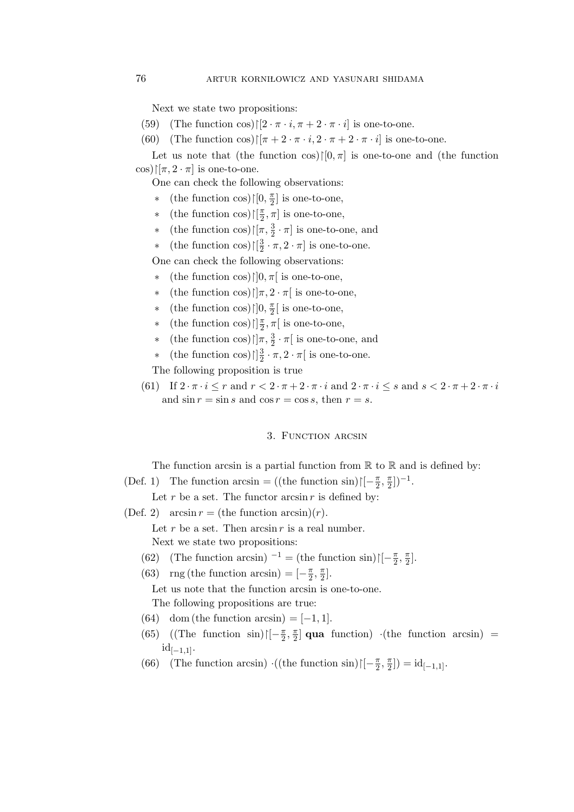Next we state two propositions:

- (59) (The function cos) $\left[\left[2 \cdot \pi \cdot i, \pi + 2 \cdot \pi \cdot i\right]\right]$  is one-to-one.
- (60) (The function cos) $\left|\left[\pi+2\cdot\pi\cdot i,2\cdot\pi+2\cdot\pi\cdot i\right]\right|$  is one-to-one.

Let us note that (the function cos) $\upharpoonright[0, \pi]$  is one-to-one and (the function  $\cos[{\pi, 2 \cdot \pi}]$  is one-to-one.

One can check the following observations:

- ∗ (the function cos) $\left\vert \left[ 0,\frac{\pi }{2}\right] \right\vert$  is one-to-one,
- <sup>∗</sup> (the function cos) $\left[\frac{\pi}{2}, \pi\right]$  is one-to-one,
- <sup>∗</sup> (the function cos) $\lceil \pi, \frac{3}{2} \cdot \pi \rceil$  is one-to-one, and
- ∗ (the function cos)↾[ 3  $\frac{3}{2} \cdot \pi$ ,  $2 \cdot \pi$  is one-to-one.

One can check the following observations:

- ∗ (the function cos)↾]0, π[ is one-to-one,
- ∗ (the function cos)↾]π, 2 · π[ is one-to-one,
- ∗ (the function cos) $\left\vert \cdot\right\vert$ ,  $\frac{\pi}{2}$ [ is one-to-one,
- ∗ (the function cos)↾] π 2 , π[ is one-to-one,
- <sup>∗</sup> (the function cos) $\left[\right]$ π,  $\frac{3}{2} \cdot \pi$  is one-to-one, and
- $\ast$  (the function cos) $\iint_{2}^{3}$  $\frac{3}{2} \cdot \pi$ ,  $2 \cdot \pi$  is one-to-one.

The following proposition is true

(61) If  $2 \cdot \pi \cdot i \leq r$  and  $r < 2 \cdot \pi + 2 \cdot \pi \cdot i$  and  $2 \cdot \pi \cdot i \leq s$  and  $s < 2 \cdot \pi + 2 \cdot \pi \cdot i$ and  $\sin r = \sin s$  and  $\cos r = \cos s$ , then  $r = s$ .

## 3. FUNCTION ARCSIN

The function arcsin is a partial function from  $\mathbb R$  to  $\mathbb R$  and is defined by:

(Def. 1) The function arcsin = ((the function sin) $\left[\left[-\frac{\pi}{2}, \frac{\pi}{2}\right]\right]^{-1}$ .

Let r be a set. The functor  $\arcsin r$  is defined by:

- (Def. 2)  $\arcsin r =$  (the function  $\arcsin(r)$ ). Let  $r$  be a set. Then  $\arcsin r$  is a real number. Next we state two propositions:
	- (62) (The function arcsin)  $^{-1}$  = (the function sin) $\left[\left[-\frac{\pi}{2}, \frac{\pi}{2}\right]\right]$ .
	- (63) rng (the function arcsin) =  $\left[-\frac{\pi}{2}, \frac{\pi}{2}\right]$ .

Let us note that the function arcsin is one-to-one. The following propositions are true:

- (64) dom (the function  $arcsin = [-1, 1]$ .
- (65) ((The function sin) $\left| \left[ -\frac{\pi}{2}, \frac{\pi}{2} \right]$  qua function)  $\cdot$  (the function arcsin) =  $id_{[-1,1]}.$
- (66) (The function arcsin)  $\cdot((\text{the function } \sin)[[-\frac{\pi}{2}, \frac{\pi}{2}]) = id_{[-1,1]}.$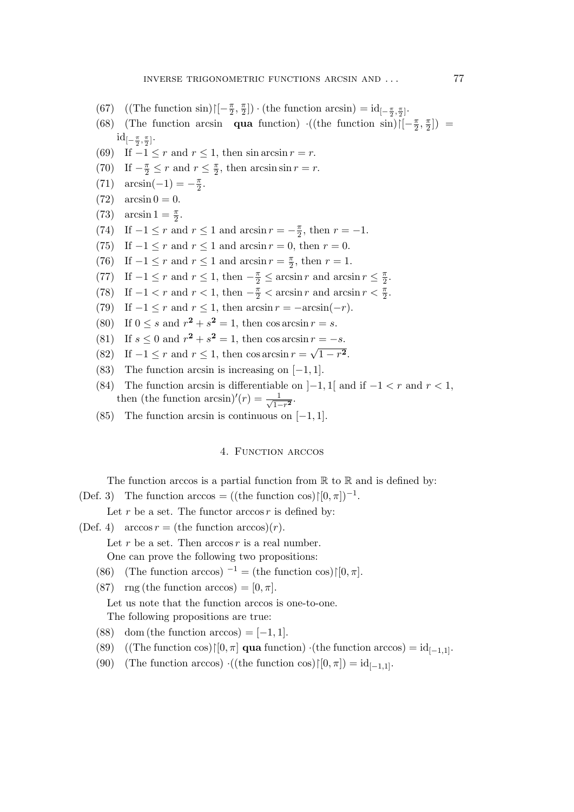- (67) ((The function sin) $\left\lfloor -\frac{\pi}{2}, \frac{\pi}{2} \right\rfloor$ ) · (the function arcsin) =  $id_{\left[-\frac{\pi}{2}, \frac{\pi}{2}\right]}$ .
- (68) (The function arcsin qua function)  $\cdot((\text{the function } \sin)[[-\frac{\pi}{2}, \frac{\pi}{2}])$  $\mathrm{id}_{[-\frac{\pi}{2},\frac{\pi}{2}]}$ .
- (69) If  $-1 \leq r$  and  $r \leq 1$ , then sin arcsin  $r = r$ .
- (70) If  $-\frac{\pi}{2} \le r$  and  $r \le \frac{\pi}{2}$ , then  $\arcsin \sin r = r$ .
- (71)  $\arcsin(-1) = -\frac{\pi}{2}$ .
- $(72) \arcsin 0 = 0.$
- (73)  $\arcsin 1 = \frac{\pi}{2}$ .
- (74) If  $-1 \le r$  and  $r \le 1$  and  $\arcsin r = -\frac{\pi}{2}$ , then  $r = -1$ .
- (75) If  $-1 \le r$  and  $r \le 1$  and  $\arcsin r = 0$ , then  $r = 0$ .
- (76) If  $-1 \le r$  and  $r \le 1$  and  $\arcsin r = \frac{\pi}{2}$ , then  $r = 1$ .
- (77) If  $-1 \le r$  and  $r \le 1$ , then  $-\frac{\pi}{2} \le \arcsin r$  and  $\arcsin r \le \frac{\pi}{2}$ .
- (78) If  $-1 < r$  and  $r < 1$ , then  $-\frac{\pi}{2} < \arcsin r$  and  $\arcsin r < \frac{\pi}{2}$ .
- (79) If  $-1 \le r$  and  $r \le 1$ , then  $\arcsin r = -\arcsin(-r)$ .
- (80) If  $0 \le s$  and  $r^2 + s^2 = 1$ , then  $\cos \arcsin r = s$ .
- (81) If  $s \le 0$  and  $r^2 + s^2 = 1$ , then  $\cos \arcsin r = -s$ .
- (82) If  $-1 \le r$  and  $r \le 1$ , then  $\cos \arcsin r = \sqrt{1 r^2}$ .
- (83) The function arcsin is increasing on  $[-1, 1]$ .
- (84) The function arcsin is differentiable on  $]-1, 1[$  and if  $-1 < r$  and  $r < 1$ , then (the function arcsin)' $(r) = \frac{1}{\sqrt{1-r}}$  $\frac{1}{1-r^2}$ .
- (85) The function arcsin is continuous on  $[-1, 1]$ .

#### 4. FUNCTION ARCCOS

The function arccos is a partial function from  $\mathbb R$  to  $\mathbb R$  and is defined by:

(Def. 3) The function arccos = ((the function cos) $\upharpoonright [0, \pi]$ )<sup>-1</sup>.

Let r be a set. The functor  $arccos r$  is defined by:

- (Def. 4) arccos  $r =$  (the function arccos) $(r)$ .
	- Let  $r$  be a set. Then  $arccos r$  is a real number.

One can prove the following two propositions:

- (86) (The function arccos)<sup>-1</sup> = (the function cos) $\upharpoonright [0, \pi]$ .
- (87) rng (the function arccos) =  $[0, \pi]$ .

Let us note that the function arccos is one-to-one.

The following propositions are true:

- (88) dom (the function arccos) =  $[-1, 1]$ .
- (89) ((The function cos) $\vert [0, \pi]$  qua function) ·(the function arccos) = id<sub>[-1,1]</sub>.
- (90) (The function arccos)  $\cdot((\text{the function cos}) \upharpoonright [0, \pi]) = \text{id}_{[-1,1]}.$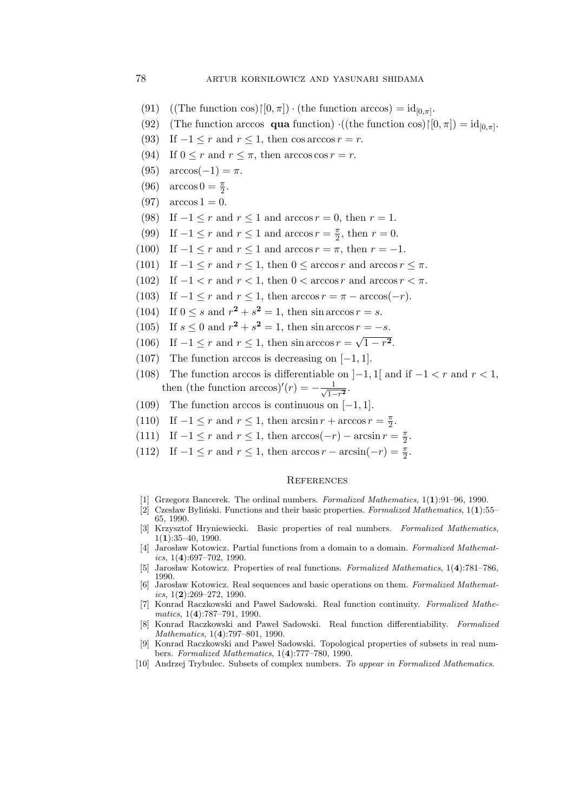- (91) ((The function cos) $\upharpoonright [0, \pi]$ ) · (the function arccos) =  $id_{[0, \pi]}$ .
- (92) (The function arccos **qua** function)  $\cdot((\text{the function cos}) \mid [0, \pi]) = \text{id}_{[0, \pi]}.$
- (93) If  $-1 \leq r$  and  $r \leq 1$ , then cos arccos  $r = r$ .
- (94) If  $0 \leq r$  and  $r \leq \pi$ , then arccos cos  $r = r$ .
- (95)  $\arccos(-1) = \pi$ .
- (96)  $\arccos 0 = \frac{\pi}{2}$ .
- (97)  $\arccos 1 = 0$ .
- (98) If  $-1 \le r$  and  $r \le 1$  and  $\arccos r = 0$ , then  $r = 1$ .
- (99) If  $-1 \le r$  and  $r \le 1$  and  $\arccos r = \frac{\pi}{2}$ , then  $r = 0$ .
- (100) If  $-1 \le r$  and  $r \le 1$  and  $\arccos r = \pi$ , then  $r = -1$ .
- (101) If  $-1 \leq r$  and  $r \leq 1$ , then  $0 \leq \arccos r$  and  $\arccos r \leq \pi$ .
- (102) If  $-1 < r$  and  $r < 1$ , then  $0 < \arccos r$  and  $\arccos r < \pi$ .
- (103) If  $-1 \le r$  and  $r \le 1$ , then  $\arccos r = \pi \arccos(-r)$ .
- (104) If  $0 \le s$  and  $r^2 + s^2 = 1$ , then sin arccos  $r = s$ .
- (105) If  $s \le 0$  and  $r^2 + s^2 = 1$ , then sin arccos  $r = -s$ .
- (106) If  $-1 \le r$  and  $r \le 1$ , then sin arccos  $r = \sqrt{1 r^2}$ .
- (107) The function arccos is decreasing on  $[-1, 1]$ .
- (108) The function arccos is differentiable on  $]-1,1[$  and if  $-1 < r$  and  $r < 1$ , then (the function arccos)' $(r) = -\frac{1}{\sqrt{1-\cdots}}$  $\frac{1}{1-r^2}$ .
- (109) The function arccos is continuous on  $[-1, 1]$ .
- (110) If  $-1 \le r$  and  $r \le 1$ , then  $\arcsin r + \arccos r = \frac{\pi}{2}$ .
- (111) If  $-1 \le r$  and  $r \le 1$ , then  $arccos(-r) arcsin r = \frac{\pi}{2}$ .
- (112) If  $-1 \le r$  and  $r \le 1$ , then  $\arccos r \arcsin(-r) = \frac{\pi}{2}$ .

#### **REFERENCES**

- [1] Grzegorz Bancerek. The ordinal numbers. Formalized Mathematics, 1(1):91–96, 1990.
- [2] Czesław Byliński. Functions and their basic properties. Formalized Mathematics,  $1(1):$ 55– 65, 1990.
- [3] Krzysztof Hryniewiecki. Basic properties of real numbers. Formalized Mathematics, 1(1):35–40, 1990.
- [4] Jarosław Kotowicz. Partial functions from a domain to a domain. Formalized Mathematics,  $1(4):697-702$ , 1990.
- [5] Jarosław Kotowicz. Properties of real functions. Formalized Mathematics, 1(4):781–786 1990.
- [6] Jarosław Kotowicz. Real sequences and basic operations on them. Formalized Mathematics,  $1(2):269-272$ , 1990.
- [7] Konrad Raczkowski and Paweł Sadowski. Real function continuity. Formalized Mathematics, 1(4):787–791, 1990.
- [8] Konrad Raczkowski and Paweł Sadowski. Real function differentiability. Formalized Mathematics, 1(4):797–801, 1990.
- [9] Konrad Raczkowski and Pawel Sadowski. Topological properties of subsets in real numbers. Formalized Mathematics, 1(4):777–780, 1990.
- [10] Andrzej Trybulec. Subsets of complex numbers. To appear in Formalized Mathematics.